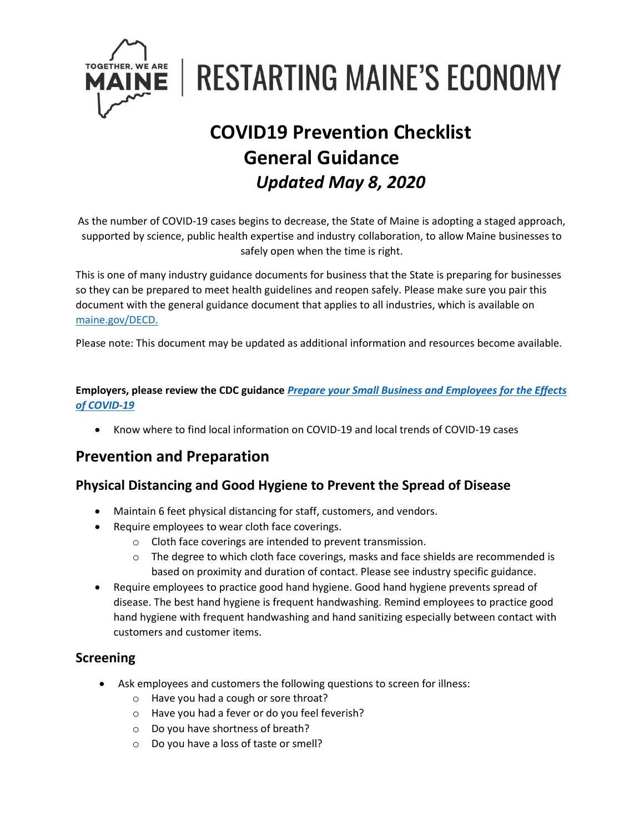

**RESTARTING MAINE'S ECONOMY** 

# **COVID19 Prevention Checklist General Guidance** *Updated May 8, 2020*

As the number of COVID-19 cases begins to decrease, the State of Maine is adopting a staged approach, supported by science, public health expertise and industry collaboration, to allow Maine businesses to safely open when the time is right.

This is one of many industry guidance documents for business that the State is preparing for businesses so they can be prepared to meet health guidelines and reopen safely. Please make sure you pair this document with the general guidance document that applies to all industries, which is available on [maine.gov/DECD.](https://www.maine.gov/DECD)

Please note: This document may be updated as additional information and resources become available.

#### **Employers, please review the CDC guidance** *[Prepare your Small Business and Employees for the Effects](https://www.cdc.gov/coronavirus/2019-ncov/community/guidance-small-business.html)  [of COVID-19](https://www.cdc.gov/coronavirus/2019-ncov/community/guidance-small-business.html)*

• Know where to find local information on COVID-19 and local trends of COVID-19 cases

## **Prevention and Preparation**

## **Physical Distancing and Good Hygiene to Prevent the Spread of Disease**

- Maintain 6 feet physical distancing for staff, customers, and vendors.
- Require employees to wear cloth face coverings.
	- o Cloth face coverings are intended to prevent transmission.
	- $\circ$  The degree to which cloth face coverings, masks and face shields are recommended is based on proximity and duration of contact. Please see industry specific guidance.
- Require employees to practice good hand hygiene. Good hand hygiene prevents spread of disease. The best hand hygiene is frequent handwashing. Remind employees to practice good hand hygiene with frequent handwashing and hand sanitizing especially between contact with customers and customer items.

## **Screening**

- Ask employees and customers the following questions to screen for illness:
	- o Have you had a cough or sore throat?
	- o Have you had a fever or do you feel feverish?
	- o Do you have shortness of breath?
	- o Do you have a loss of taste or smell?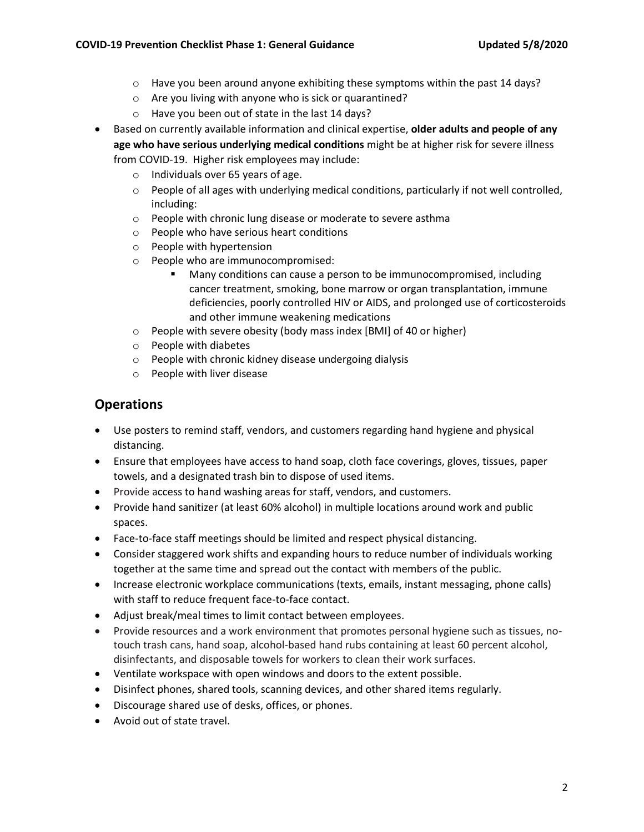- $\circ$  Have you been around anyone exhibiting these symptoms within the past 14 days?
- o Are you living with anyone who is sick or quarantined?
- o Have you been out of state in the last 14 days?
- Based on currently available information and clinical expertise, **older adults and people of any age who have serious underlying medical conditions** might be at higher risk for severe illness from COVID-19. Higher risk employees may include:
	- o Individuals over 65 years of age.
	- o People of all ages with underlying medical conditions, particularly if not well controlled, including:
	- o People with chronic lung disease or moderate to severe asthma
	- o People who have serious heart conditions
	- o People with hypertension
	- o People who are immunocompromised:
		- Many conditions can cause a person to be immunocompromised, including cancer treatment, smoking, bone marrow or organ transplantation, immune deficiencies, poorly controlled HIV or AIDS, and prolonged use of corticosteroids and other immune weakening medications
	- o People with severe obesity (body mass index [BMI] of 40 or higher)
	- o People with diabetes
	- o People with chronic kidney disease undergoing dialysis
	- o People with liver disease

## **Operations**

- Use posters to remind staff, vendors, and customers regarding hand hygiene and physical distancing.
- Ensure that employees have access to hand soap, cloth face coverings, gloves, tissues, paper towels, and a designated trash bin to dispose of used items.
- Provide access to hand washing areas for staff, vendors, and customers.
- Provide hand sanitizer (at least 60% alcohol) in multiple locations around work and public spaces.
- Face-to-face staff meetings should be limited and respect physical distancing.
- Consider staggered work shifts and expanding hours to reduce number of individuals working together at the same time and spread out the contact with members of the public.
- Increase electronic workplace communications (texts, emails, instant messaging, phone calls) with staff to reduce frequent face-to-face contact.
- Adjust break/meal times to limit contact between employees.
- Provide resources and a work environment that promotes personal hygiene such as tissues, notouch trash cans, hand soap, alcohol-based hand rubs containing at least 60 percent alcohol, disinfectants, and disposable towels for workers to clean their work surfaces.
- Ventilate workspace with open windows and doors to the extent possible.
- Disinfect phones, shared tools, scanning devices, and other shared items regularly.
- Discourage shared use of desks, offices, or phones.
- Avoid out of state travel.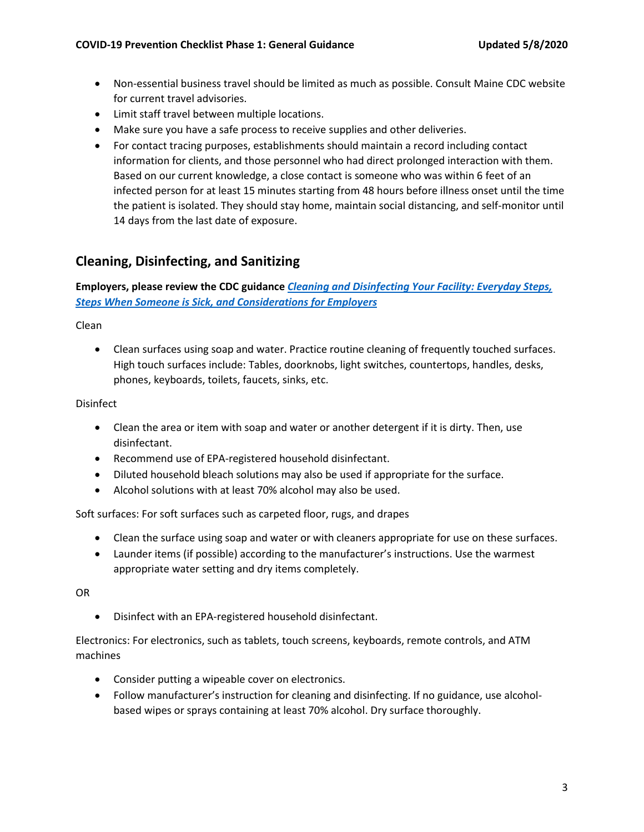- Non-essential business travel should be limited as much as possible. Consult Maine CDC website for current travel advisories.
- Limit staff travel between multiple locations.
- Make sure you have a safe process to receive supplies and other deliveries.
- For contact tracing purposes, establishments should maintain a record including contact information for clients, and those personnel who had direct prolonged interaction with them. Based on our current knowledge, a close contact is someone who was within 6 feet of an infected person for at least 15 minutes starting from 48 hours before illness onset until the time the patient is isolated. They should stay home, maintain social distancing, and self-monitor until 14 days from the last date of exposure.

## **Cleaning, Disinfecting, and Sanitizing**

#### **Employers, please review the CDC guidance** *[Cleaning and Disinfecting Your Facility: Everyday Steps,](https://www.cdc.gov/coronavirus/2019-ncov/community/disinfecting-building-facility.html)  [Steps When Someone is Sick, and Considerations for Employers](https://www.cdc.gov/coronavirus/2019-ncov/community/disinfecting-building-facility.html)*

Clean

• Clean surfaces using soap and water. Practice routine cleaning of frequently touched surfaces. High touch surfaces include: Tables, doorknobs, light switches, countertops, handles, desks, phones, keyboards, toilets, faucets, sinks, etc.

#### Disinfect

- Clean the area or item with soap and water or another detergent if it is dirty. Then, use disinfectant.
- Recommend use of EPA-registered household disinfectant.
- Diluted household bleach solutions may also be used if appropriate for the surface.
- Alcohol solutions with at least 70% alcohol may also be used.

Soft surfaces: For soft surfaces such as carpeted floor, rugs, and drapes

- Clean the surface using soap and water or with cleaners appropriate for use on these surfaces.
- Launder items (if possible) according to the manufacturer's instructions. Use the warmest appropriate water setting and dry items completely.

OR

• Disinfect with an EPA-registered household disinfectant.

Electronics: For electronics, such as tablets, touch screens, keyboards, remote controls, and ATM machines

- Consider putting a wipeable cover on electronics.
- Follow manufacturer's instruction for cleaning and disinfecting. If no guidance, use alcoholbased wipes or sprays containing at least 70% alcohol. Dry surface thoroughly.